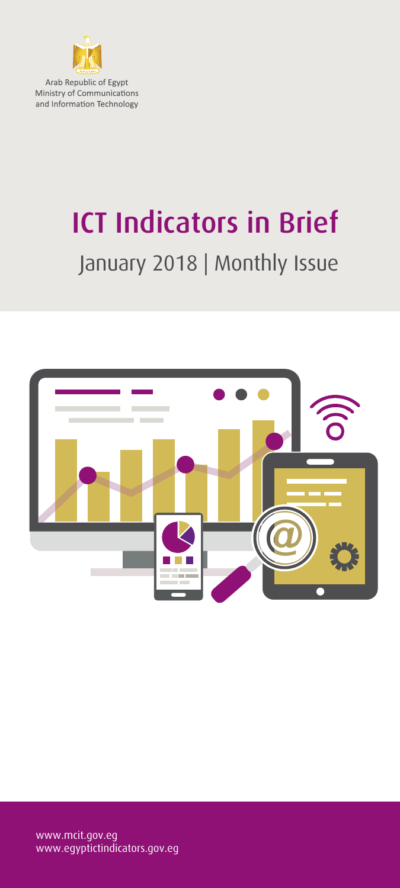

Arab Republic of Egypt Ministry of Communications and Information Technology

## ICT Indicators in Brief January 2018 | Monthly Issue

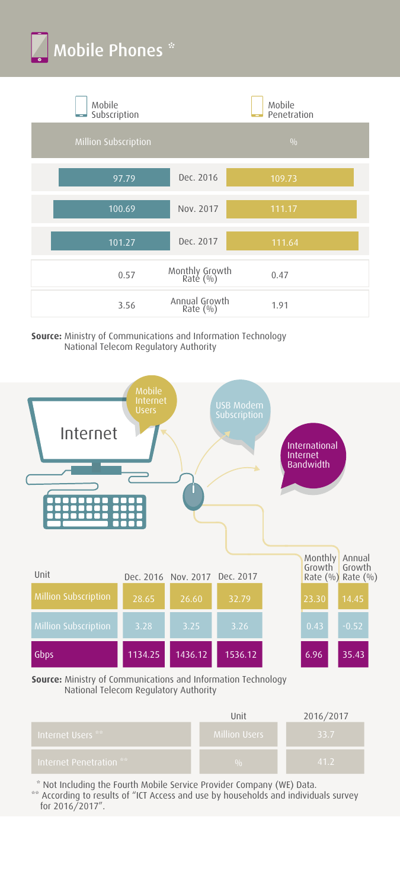



**Source:** Ministry of Communications and Information Technology National Telecom Regulatory Authority



**Source:** Ministry of Communications and Information Technology National Telecom Regulatory Authority

|                                  | Unit                 | 2016/2017 |
|----------------------------------|----------------------|-----------|
| Internet Users ** 1              | <b>Million Users</b> | 33.7      |
| . Internet Penetration $^{**}$ . | 0/r                  | 41.2      |

\* Not Including the Fourth Mobile Service Provider Company (WE) Data.

\*\* According to results of "ICT Access and use by households and individuals survey for 2016/2017".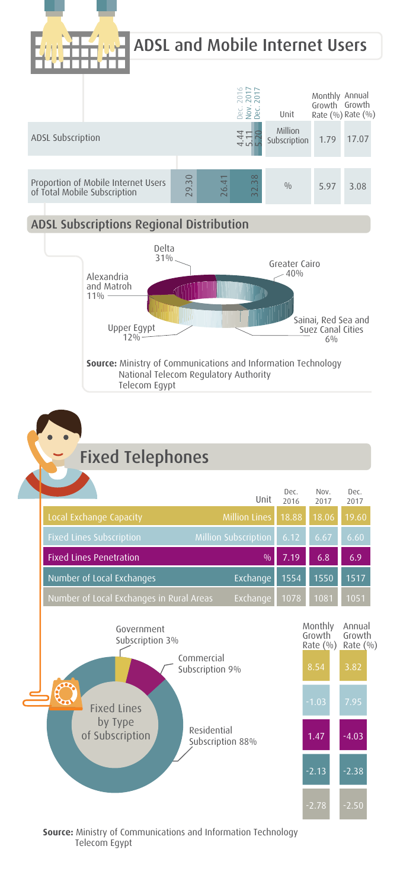





 $-2.78$   $-2.50$ 

**Source:** Ministry of Communications and Information Technology Telecom Egypt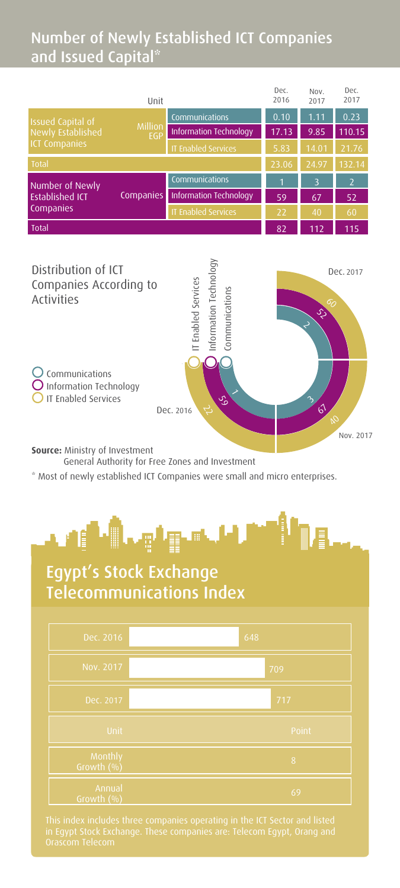## Number of Newly Established ICT Companies and Issued Capital\*

| Unit                                                                             |           | Dec.<br>2016               | Nov.<br>2017 | Dec.<br>2017 |                          |
|----------------------------------------------------------------------------------|-----------|----------------------------|--------------|--------------|--------------------------|
| <b>Issued Capital of</b><br>Million<br>Newly Established<br><b>ICT Companies</b> |           | Communications             | 0.10         | 1.11         | 0.23                     |
|                                                                                  | EGP       | Information Technology     | 17.13        | 9.85         | 110.15                   |
|                                                                                  |           | <b>IT Enabled Services</b> | 5.83         | 14.01        | 21.76                    |
| Total                                                                            |           | 23.06                      | 24.97        | 132.14       |                          |
| Number of Newly<br><b>Established ICT</b><br>Companies                           |           | Communications             | 1            | 3            | $\overline{\phantom{0}}$ |
|                                                                                  | Companies | Information Technology     | 59           | 67           | 52                       |
|                                                                                  |           | <b>IT Enabled Services</b> | 22           | 40           | 60                       |
| <b>Total</b>                                                                     |           |                            | 82           | 112          | 115                      |
|                                                                                  |           |                            |              |              |                          |
|                                                                                  |           | $\overline{\phantom{a}}$   |              |              |                          |



**Source:** Ministry of Investment

General Authority for Free Zones and Investment

\* Most of newly established ICT Companies were small and micro enterprises.



## Egypt's Stock Exchange Telecommunications Index